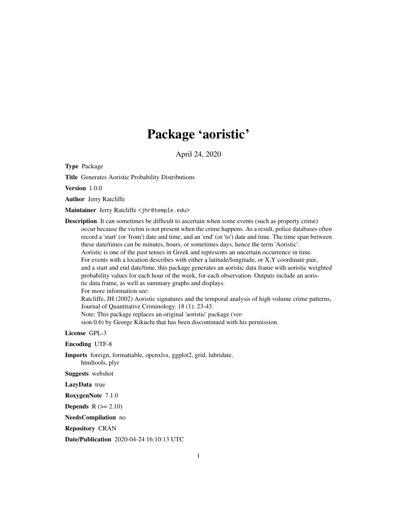# Package 'aoristic'

April 24, 2020

Type Package

Title Generates Aoristic Probability Distributions

Version 1.0.0

Author Jerry Ratcliffe

Maintainer Jerry Ratcliffe <jhr@temple.edu>

Description It can sometimes be difficult to ascertain when some events (such as property crime) occur because the victim is not present when the crime happens. As a result, police databases often record a 'start' (or 'from') date and time, and an 'end' (or 'to') date and time. The time span between these date/times can be minutes, hours, or sometimes days, hence the term 'Aoristic'. Aoristic is one of the past tenses in Greek and represents an uncertain occurrence in time. For events with a location describes with either a latitude/longitude, or X,Y coordinate pair, and a start and end date/time, this package generates an aoristic data frame with aoristic weighted probability values for each hour of the week, for each observation. Outputs include an aoristic data frame, as well as summary graphs and displays. For more information see: Ratcliffe, JH (2002) Aoristic signatures and the temporal analysis of high volume crime patterns, Journal of Quantitative Criminology. 18 (1): 23-43. Note: This package replaces an original 'aoristic' package (version 0.6) by George Kikuchi that has been discontinued with his permission.

License GPL-3

Encoding UTF-8

Imports foreign, formattable, openxlsx, ggplot2, grid, lubridate, htmltools, plyr

Suggests webshot

LazyData true

RoxygenNote 7.1.0

**Depends**  $R$  ( $>= 2.10$ )

NeedsCompilation no

Repository CRAN

Date/Publication 2020-04-24 16:10:13 UTC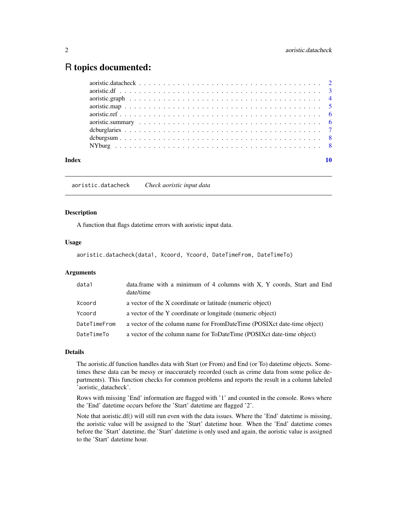# <span id="page-1-0"></span>R topics documented:

| Index |  |
|-------|--|
|       |  |
|       |  |
|       |  |
|       |  |
|       |  |
|       |  |
|       |  |
|       |  |
|       |  |

aoristic.datacheck *Check aoristic input data*

#### Description

A function that flags datetime errors with aoristic input data.

#### Usage

aoristic.datacheck(data1, Xcoord, Ycoord, DateTimeFrom, DateTimeTo)

# Arguments

| data1        | data.frame with a minimum of 4 columns with X, Y coords, Start and End<br>date/time |
|--------------|-------------------------------------------------------------------------------------|
| Xcoord       | a vector of the X coordinate or latitude (numeric object)                           |
| Ycoord       | a vector of the Y coordinate or longitude (numeric object)                          |
| DateTimeFrom | a vector of the column name for FromDateTime (POSIX et date-time object)            |
| DateTimeTo   | a vector of the column name for ToDateTime (POSIX et date-time object)              |

# Details

The aoristic.df function handles data with Start (or From) and End (or To) datetime objects. Sometimes these data can be messy or inaccurately recorded (such as crime data from some police departments). This function checks for common problems and reports the result in a column labeled 'aoristic\_datacheck'.

Rows with missing 'End' information are flagged with '1' and counted in the console. Rows where the 'End' datetime occurs before the 'Start' datetime are flagged '2'.

Note that aoristic.df() will still run even with the data issues. Where the 'End' datetime is missing, the aoristic value will be assigned to the 'Start' datetime hour. When the 'End' datetime comes before the 'Start' datetime, the 'Start' datetime is only used and again, the aoristic value is assigned to the 'Start' datetime hour.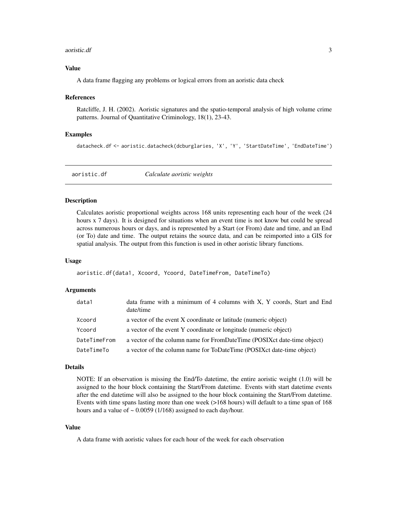#### <span id="page-2-0"></span>aoristic.df 3

#### Value

A data frame flagging any problems or logical errors from an aoristic data check

#### References

Ratcliffe, J. H. (2002). Aoristic signatures and the spatio-temporal analysis of high volume crime patterns. Journal of Quantitative Criminology, 18(1), 23-43.

#### Examples

datacheck.df <- aoristic.datacheck(dcburglaries, 'X', 'Y', 'StartDateTime', 'EndDateTime')

aoristic.df *Calculate aoristic weights*

#### Description

Calculates aoristic proportional weights across 168 units representing each hour of the week (24 hours x 7 days). It is designed for situations when an event time is not know but could be spread across numerous hours or days, and is represented by a Start (or From) date and time, and an End (or To) date and time. The output retains the source data, and can be reimported into a GIS for spatial analysis. The output from this function is used in other aoristic library functions.

#### Usage

aoristic.df(data1, Xcoord, Ycoord, DateTimeFrom, DateTimeTo)

#### Arguments

| data1        | data frame with a minimum of 4 columns with X, Y coords, Start and End<br>date/time |
|--------------|-------------------------------------------------------------------------------------|
| Xcoord       | a vector of the event X coordinate or latitude (numeric object)                     |
| Ycoord       | a vector of the event Y coordinate or longitude (numeric object)                    |
| DateTimeFrom | a vector of the column name for FromDateTime (POSIX ct date-time object)            |
| DateTimeTo   | a vector of the column name for ToDateTime (POSIXct date-time object)               |

#### Details

NOTE: If an observation is missing the End/To datetime, the entire aoristic weight (1.0) will be assigned to the hour block containing the Start/From datetime. Events with start datetime events after the end datetime will also be assigned to the hour block containing the Start/From datetime. Events with time spans lasting more than one week (>168 hours) will default to a time span of 168 hours and a value of  $\sim 0.0059$  (1/168) assigned to each day/hour.

#### Value

A data frame with aoristic values for each hour of the week for each observation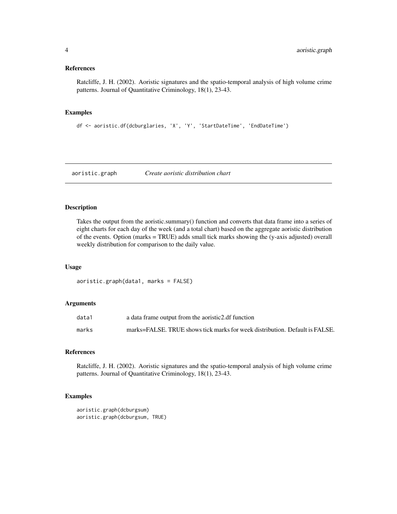# <span id="page-3-0"></span>References

Ratcliffe, J. H. (2002). Aoristic signatures and the spatio-temporal analysis of high volume crime patterns. Journal of Quantitative Criminology, 18(1), 23-43.

# Examples

```
df <- aoristic.df(dcburglaries, 'X', 'Y', 'StartDateTime', 'EndDateTime')
```
aoristic.graph *Create aoristic distribution chart*

# Description

Takes the output from the aoristic.summary() function and converts that data frame into a series of eight charts for each day of the week (and a total chart) based on the aggregate aoristic distribution of the events. Option (marks = TRUE) adds small tick marks showing the (y-axis adjusted) overall weekly distribution for comparison to the daily value.

# Usage

aoristic.graph(data1, marks = FALSE)

# Arguments

| data1 | a data frame output from the aoristic2.df function                          |
|-------|-----------------------------------------------------------------------------|
| marks | marks=FALSE. TRUE shows tick marks for week distribution. Default is FALSE. |

#### References

Ratcliffe, J. H. (2002). Aoristic signatures and the spatio-temporal analysis of high volume crime patterns. Journal of Quantitative Criminology, 18(1), 23-43.

# Examples

```
aoristic.graph(dcburgsum)
aoristic.graph(dcburgsum, TRUE)
```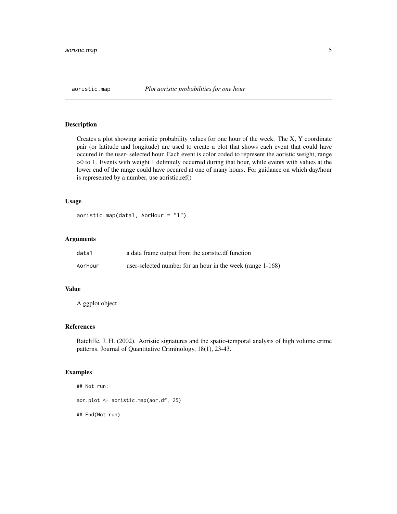<span id="page-4-0"></span>

# Description

Creates a plot showing aoristic probability values for one hour of the week. The X, Y coordinate pair (or latitude and longitude) are used to create a plot that shows each event that could have occured in the user- selected hour. Each event is color coded to represent the aoristic weight, range >0 to 1. Events with weight 1 definitely occurred during that hour, while events with values at the lower end of the range could have occured at one of many hours. For guidance on which day/hour is represented by a number, use aoristic.ref()

#### Usage

```
aoristic.map(data1, AorHour = "1")
```
# Arguments

| data1   | a data frame output from the aoristic.df function          |
|---------|------------------------------------------------------------|
| AorHour | user-selected number for an hour in the week (range 1-168) |

# Value

A ggplot object

# References

Ratcliffe, J. H. (2002). Aoristic signatures and the spatio-temporal analysis of high volume crime patterns. Journal of Quantitative Criminology, 18(1), 23-43.

# Examples

```
## Not run:
aor.plot <- aoristic.map(aor.df, 25)
## End(Not run)
```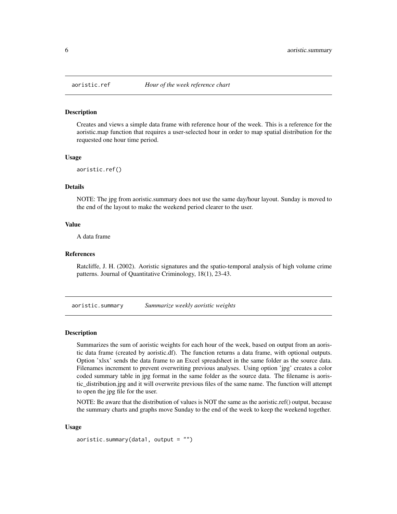<span id="page-5-0"></span>

#### **Description**

Creates and views a simple data frame with reference hour of the week. This is a reference for the aoristic.map function that requires a user-selected hour in order to map spatial distribution for the requested one hour time period.

#### Usage

aoristic.ref()

# Details

NOTE: The jpg from aoristic.summary does not use the same day/hour layout. Sunday is moved to the end of the layout to make the weekend period clearer to the user.

# Value

A data frame

# References

Ratcliffe, J. H. (2002). Aoristic signatures and the spatio-temporal analysis of high volume crime patterns. Journal of Quantitative Criminology, 18(1), 23-43.

aoristic.summary *Summarize weekly aoristic weights*

# Description

Summarizes the sum of aoristic weights for each hour of the week, based on output from an aoristic data frame (created by aoristic.df). The function returns a data frame, with optional outputs. Option 'xlsx' sends the data frame to an Excel spreadsheet in the same folder as the source data. Filenames increment to prevent overwriting previous analyses. Using option 'jpg' creates a color coded summary table in jpg format in the same folder as the source data. The filename is aoristic\_distribution.jpg and it will overwrite previous files of the same name. The function will attempt to open the jpg file for the user.

NOTE: Be aware that the distribution of values is NOT the same as the aoristic.ref() output, because the summary charts and graphs move Sunday to the end of the week to keep the weekend together.

#### Usage

aoristic.summary(data1, output =  $"$ )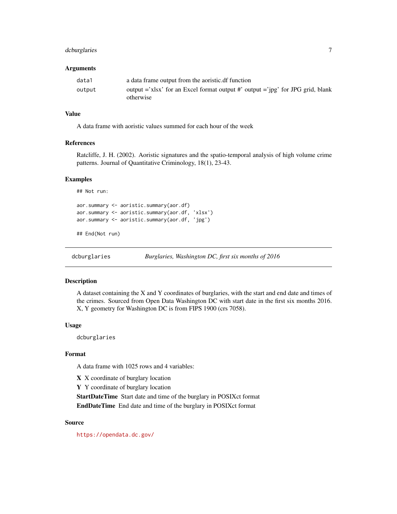# <span id="page-6-0"></span>dcburglaries 7

#### Arguments

| data1  | a data frame output from the aoristic.df function                                                     |
|--------|-------------------------------------------------------------------------------------------------------|
| output | output $=$ 'xlsx' for an Excel format output $\#$ ' output $=$ 'ipg' for JPG grid, blank<br>otherwise |

# Value

A data frame with aoristic values summed for each hour of the week

# References

Ratcliffe, J. H. (2002). Aoristic signatures and the spatio-temporal analysis of high volume crime patterns. Journal of Quantitative Criminology, 18(1), 23-43.

#### Examples

```
## Not run:
aor.summary <- aoristic.summary(aor.df)
aor.summary <- aoristic.summary(aor.df, 'xlsx')
aor.summary <- aoristic.summary(aor.df, 'jpg')
```
## End(Not run)

dcburglaries *Burglaries, Washington DC, first six months of 2016*

# Description

A dataset containing the X and Y coordinates of burglaries, with the start and end date and times of the crimes. Sourced from Open Data Washington DC with start date in the first six months 2016. X, Y geometry for Washington DC is from FIPS 1900 (crs 7058).

#### Usage

dcburglaries

#### Format

A data frame with 1025 rows and 4 variables:

X X coordinate of burglary location

Y Y coordinate of burglary location

StartDateTime Start date and time of the burglary in POSIXct format EndDateTime End date and time of the burglary in POSIXct format

#### Source

<https://opendata.dc.gov/>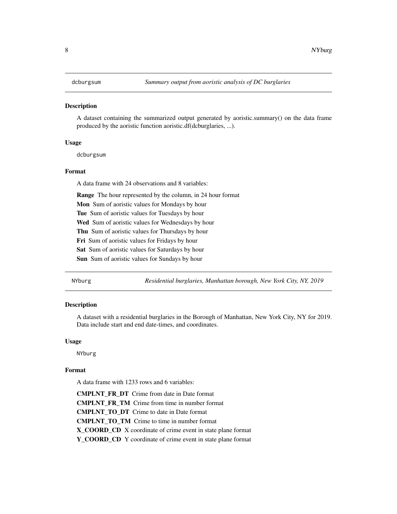<span id="page-7-0"></span>

#### **Description**

A dataset containing the summarized output generated by aoristic.summary() on the data frame produced by the aoristic function aoristic.df(dcburglaries, ...).

# Usage

dcburgsum

#### Format

A data frame with 24 observations and 8 variables:

Range The hour represented by the column, in 24 hour format

Mon Sum of aoristic values for Mondays by hour

Tue Sum of aoristic values for Tuesdays by hour

Wed Sum of aoristic values for Wednesdays by hour

Thu Sum of aoristic values for Thursdays by hour

Fri Sum of aoristic values for Fridays by hour

Sat Sum of aoristic values for Saturdays by hour

Sun Sum of aoristic values for Sundays by hour

NYburg *Residential burglaries, Manhattan borough, New York City, NY, 2019*

#### Description

A dataset with a residential burglaries in the Borough of Manhattan, New York City, NY for 2019. Data include start and end date-times, and coordinates.

#### Usage

NYburg

#### Format

A data frame with 1233 rows and 6 variables:

CMPLNT\_FR\_DT Crime from date in Date format CMPLNT\_FR\_TM Crime from time in number format CMPLNT\_TO\_DT Crime to date in Date format CMPLNT\_TO\_TM Crime to time in number format X\_COORD\_CD X coordinate of crime event in state plane format Y\_COORD\_CD Y coordinate of crime event in state plane format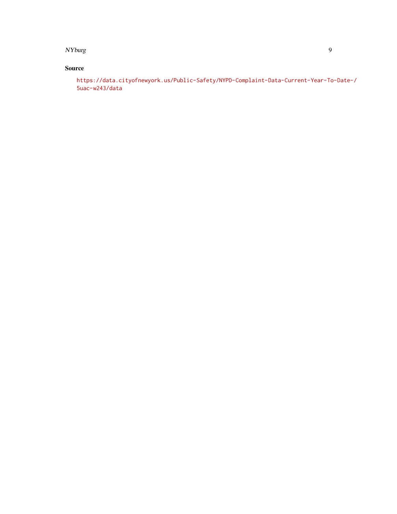NYburg 9

# Source

[https://data.cityofnewyork.us/Public-Safety/NYPD-Complaint-Data-Current-Year-To](https://data.cityofnewyork.us/Public-Safety/NYPD-Complaint-Data-Current-Year-To-Date-/5uac-w243/data)-Date-/ [5uac-w243/data](https://data.cityofnewyork.us/Public-Safety/NYPD-Complaint-Data-Current-Year-To-Date-/5uac-w243/data)